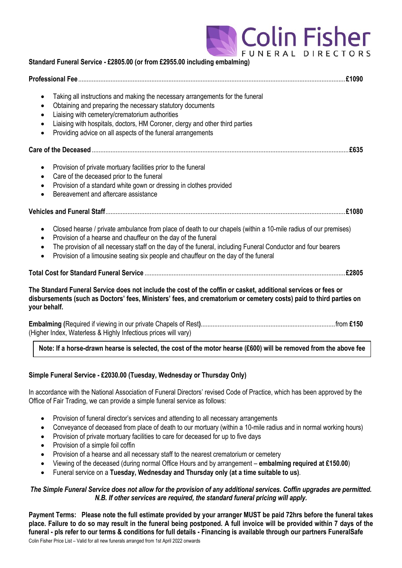

| Standard Funeral Service - £2805.00 (or from £2955.00 including embalming)                                                                                                                                                                                                                                                                                                                                                    |
|-------------------------------------------------------------------------------------------------------------------------------------------------------------------------------------------------------------------------------------------------------------------------------------------------------------------------------------------------------------------------------------------------------------------------------|
|                                                                                                                                                                                                                                                                                                                                                                                                                               |
| Taking all instructions and making the necessary arrangements for the funeral<br>$\bullet$<br>Obtaining and preparing the necessary statutory documents<br>٠<br>Liaising with cemetery/crematorium authorities<br>$\bullet$<br>Liaising with hospitals, doctors, HM Coroner, clergy and other third parties<br>Providing advice on all aspects of the funeral arrangements<br>$\bullet$                                       |
|                                                                                                                                                                                                                                                                                                                                                                                                                               |
| Provision of private mortuary facilities prior to the funeral<br>٠<br>Care of the deceased prior to the funeral<br>$\bullet$<br>Provision of a standard white gown or dressing in clothes provided<br>$\bullet$<br>Bereavement and aftercare assistance<br>$\bullet$                                                                                                                                                          |
|                                                                                                                                                                                                                                                                                                                                                                                                                               |
| Closed hearse / private ambulance from place of death to our chapels (within a 10-mile radius of our premises)<br>$\bullet$<br>Provision of a hearse and chauffeur on the day of the funeral<br>$\bullet$<br>The provision of all necessary staff on the day of the funeral, including Funeral Conductor and four bearers<br>$\bullet$<br>Provision of a limousine seating six people and chauffeur on the day of the funeral |
|                                                                                                                                                                                                                                                                                                                                                                                                                               |
| The Standard Funeral Service does not include the cost of the coffin or casket, additional services or fees or<br>disbursements (such as Doctors' fees, Ministers' fees, and crematorium or cemetery costs) paid to third parties on<br>your behalf.                                                                                                                                                                          |
| (Higher Index, Waterless & Highly Infectious prices will vary)                                                                                                                                                                                                                                                                                                                                                                |
| Motor If a house change house to calculated the control the motor house (0000) will be accessed from the change fr                                                                                                                                                                                                                                                                                                            |

## **Note: If a horse-drawn hearse is selected, the cost of the motor hearse (£600) will be removed from the above fee**

#### **Simple Funeral Service - £2030.00 (Tuesday, Wednesday or Thursday Only)**

In accordance with the National Association of Funeral Directors' revised Code of Practice, which has been approved by the Office of Fair Trading, we can provide a simple funeral service as follows:

- Provision of funeral director's services and attending to all necessary arrangements
- Conveyance of deceased from place of death to our mortuary (within a 10-mile radius and in normal working hours)
- Provision of private mortuary facilities to care for deceased for up to five days
- Provision of a simple foil coffin
- Provision of a hearse and all necessary staff to the nearest crematorium or cemetery
- Viewing of the deceased (during normal Office Hours and by arrangement **embalming required at £150.00**)
- Funeral service on a **Tuesday, Wednesday and Thursday only (at a time suitable to us)**.

#### *The Simple Funeral Service does not allow for the provision of any additional services. Coffin upgrades are permitted. N.B. If other services are required, the standard funeral pricing will apply.*

Colin Fisher Price List – Valid for all new funerals arranged from 1st April 2022 onwards **Payment Terms: Please note the full estimate provided by your arranger MUST be paid 72hrs before the funeral takes place. Failure to do so may result in the funeral being postponed. A full invoice will be provided within 7 days of the funeral - pls refer to our terms & conditions for full details - Financing is available through our partners FuneralSafe**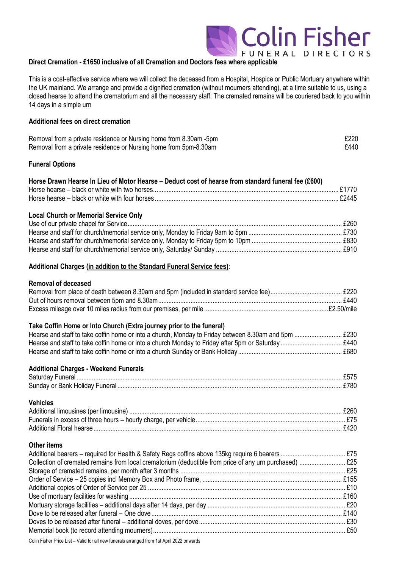#### **Direct Cremation - £1650 inclusive of all Cremation and Doctors fees where applicable**

This is a cost-effective service where we will collect the deceased from a Hospital, Hospice or Public Mortuary anywhere within the UK mainland. We arrange and provide a dignified cremation (without mourners attending), at a time suitable to us, using a closed hearse to attend the crematorium and all the necessary staff. The cremated remains will be couriered back to you within 14 days in a simple urn

**Colin Fisher** 

FUNERAL DIRECTORS

#### **Additional fees on direct cremation**

| Removal from a private residence or Nursing home from 8.30am -5pm | £220 |
|-------------------------------------------------------------------|------|
| Removal from a private residence or Nursing home from 5pm-8.30am  | £440 |

#### **Funeral Options**

| Horse Drawn Hearse In Lieu of Motor Hearse - Deduct cost of hearse from standard funeral fee (£600) |  |
|-----------------------------------------------------------------------------------------------------|--|
|                                                                                                     |  |
|                                                                                                     |  |

#### **Local Church or Memorial Service Only**

#### **Additional Charges (in addition to the Standard Funeral Service fees)**:

#### **Removal of deceased**

#### **Take Coffin Home or Into Church (Extra journey prior to the funeral)**

| £680 |
|------|

#### **Additional Charges - Weekend Funerals** Saturday Funeral ............................................................................................................................................................ £575 Sunday or Bank Holiday Funeral .................................................................................................................................... £780

#### **Vehicles** Additional limousines (per limousine) ............................................................................................................................. £260 Funerals in excess of three hours – hourly charge, per vehicle........................................................................................ £75 Additional Floral hearse.................................................................................................................................................. £420

#### **Other items**

| Collection of cremated remains from local crematorium (deductible from price of any urn purchased)  £25 |  |
|---------------------------------------------------------------------------------------------------------|--|
|                                                                                                         |  |
|                                                                                                         |  |
|                                                                                                         |  |
|                                                                                                         |  |
|                                                                                                         |  |
|                                                                                                         |  |
|                                                                                                         |  |
|                                                                                                         |  |
|                                                                                                         |  |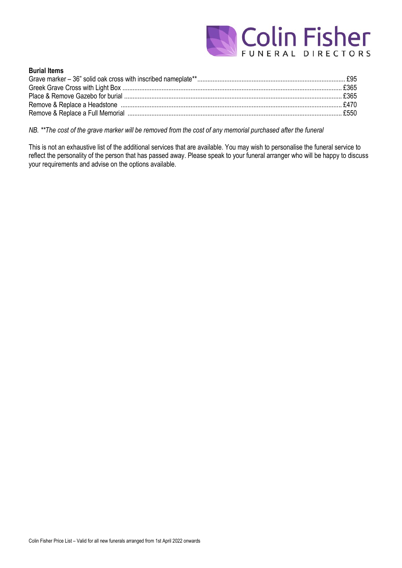

#### **Burial Items**

*NB. \*\*The cost of the grave marker will be removed from the cost of any memorial purchased after the funeral*

This is not an exhaustive list of the additional services that are available. You may wish to personalise the funeral service to reflect the personality of the person that has passed away. Please speak to your funeral arranger who will be happy to discuss your requirements and advise on the options available.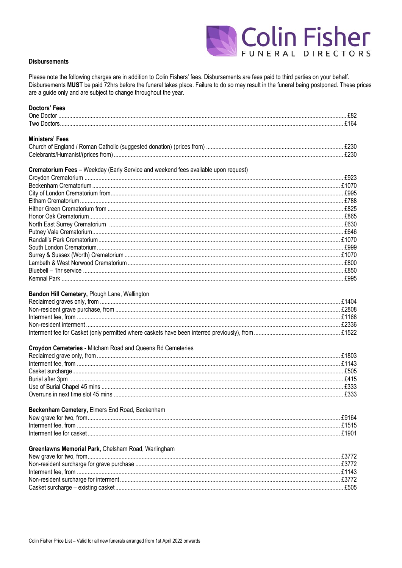

#### **Disbursements**

Please note the following charges are in addition to Colin Fishers' fees. Disbursements are fees paid to third parties on your behalf. Disbursements **MUST** be paid 72hrs before the funeral takes place. Failure to do so may result in the funeral being postponed. These prices are a guide only and are subject to change throughout the year.

| Doctors' Fees                                                                                                                                                                                                                  |  |
|--------------------------------------------------------------------------------------------------------------------------------------------------------------------------------------------------------------------------------|--|
|                                                                                                                                                                                                                                |  |
|                                                                                                                                                                                                                                |  |
|                                                                                                                                                                                                                                |  |
| <b>Ministers' Fees</b>                                                                                                                                                                                                         |  |
|                                                                                                                                                                                                                                |  |
|                                                                                                                                                                                                                                |  |
| Crematorium Fees - Weekday (Early Service and weekend fees available upon request)                                                                                                                                             |  |
|                                                                                                                                                                                                                                |  |
|                                                                                                                                                                                                                                |  |
|                                                                                                                                                                                                                                |  |
|                                                                                                                                                                                                                                |  |
|                                                                                                                                                                                                                                |  |
|                                                                                                                                                                                                                                |  |
|                                                                                                                                                                                                                                |  |
|                                                                                                                                                                                                                                |  |
|                                                                                                                                                                                                                                |  |
|                                                                                                                                                                                                                                |  |
|                                                                                                                                                                                                                                |  |
|                                                                                                                                                                                                                                |  |
|                                                                                                                                                                                                                                |  |
|                                                                                                                                                                                                                                |  |
|                                                                                                                                                                                                                                |  |
|                                                                                                                                                                                                                                |  |
| Bandon Hill Cemetery, Plough Lane, Wallington                                                                                                                                                                                  |  |
|                                                                                                                                                                                                                                |  |
|                                                                                                                                                                                                                                |  |
|                                                                                                                                                                                                                                |  |
|                                                                                                                                                                                                                                |  |
|                                                                                                                                                                                                                                |  |
|                                                                                                                                                                                                                                |  |
| Croydon Cemeteries - Mitcham Road and Queens Rd Cemeteries                                                                                                                                                                     |  |
|                                                                                                                                                                                                                                |  |
|                                                                                                                                                                                                                                |  |
|                                                                                                                                                                                                                                |  |
|                                                                                                                                                                                                                                |  |
|                                                                                                                                                                                                                                |  |
|                                                                                                                                                                                                                                |  |
|                                                                                                                                                                                                                                |  |
| Beckenham Cemetery, Elmers End Road, Beckenham                                                                                                                                                                                 |  |
|                                                                                                                                                                                                                                |  |
|                                                                                                                                                                                                                                |  |
| 1901. Financial George Street Contract Contract Contract Contract Contract Contract Contract Contract Contract Contract Contract Contract Contract Contract Contract Contract Contract Contract Contract Contract Contract Con |  |
| Greenlawns Memorial Park, Chelsham Road, Warlingham                                                                                                                                                                            |  |
|                                                                                                                                                                                                                                |  |
|                                                                                                                                                                                                                                |  |
|                                                                                                                                                                                                                                |  |
|                                                                                                                                                                                                                                |  |
|                                                                                                                                                                                                                                |  |
|                                                                                                                                                                                                                                |  |
|                                                                                                                                                                                                                                |  |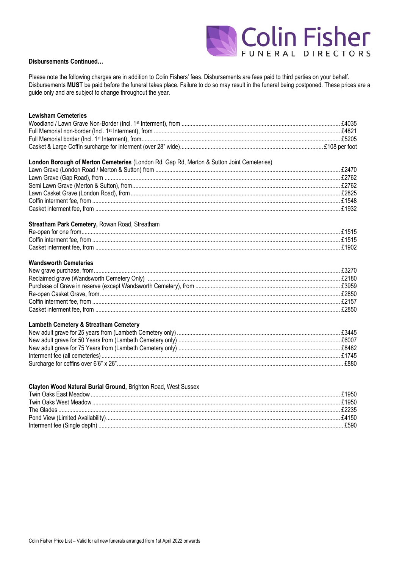

#### **Disbursements Continued...**

Please note the following charges are in addition to Colin Fishers' fees. Disbursements are fees paid to third parties on your behalf. Disbursements MUST be paid before the funeral takes place. Failure to do so may result in the funeral being postponed. These prices are a guide only and are subject to change throughout the year.

| <b>Lewisham Cemeteries</b>                                                                |  |
|-------------------------------------------------------------------------------------------|--|
|                                                                                           |  |
|                                                                                           |  |
|                                                                                           |  |
|                                                                                           |  |
| London Borough of Merton Cemeteries (London Rd, Gap Rd, Merton & Sutton Joint Cemeteries) |  |
|                                                                                           |  |
|                                                                                           |  |
|                                                                                           |  |
|                                                                                           |  |
|                                                                                           |  |
|                                                                                           |  |
| Streatham Park Cemetery, Rowan Road, Streatham                                            |  |
|                                                                                           |  |
|                                                                                           |  |
|                                                                                           |  |
| <b>Wandsworth Cemeteries</b>                                                              |  |
|                                                                                           |  |
|                                                                                           |  |
|                                                                                           |  |
|                                                                                           |  |
|                                                                                           |  |
|                                                                                           |  |
| <b>Lambeth Cemetery &amp; Streatham Cemetery</b>                                          |  |
|                                                                                           |  |
|                                                                                           |  |
|                                                                                           |  |
|                                                                                           |  |

#### Clayton Wood Natural Burial Ground, Brighton Road, West Sussex

| \$1950       |
|--------------|
| £1950        |
|              |
| <b>£4150</b> |
| £590         |
|              |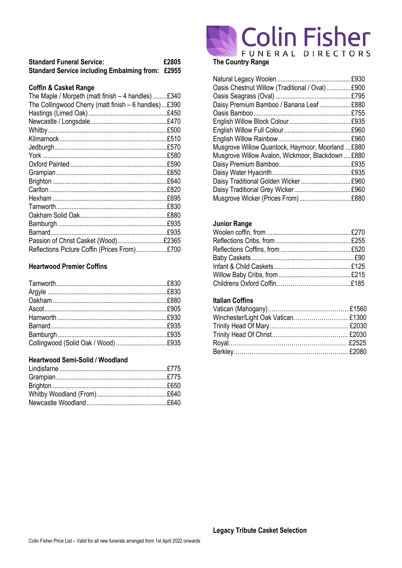| <b>Standard Funeral Service:</b>                        | £2805 |
|---------------------------------------------------------|-------|
| <b>Standard Service including Embalming from: £2955</b> |       |

#### **Coffin & Casket Range**

| The Maple / Morpeth (matt finish $-4$ handles) $£340$ |      |
|-------------------------------------------------------|------|
| The Collingwood Cherry (matt finish - 6 handles)£390  |      |
|                                                       |      |
|                                                       |      |
|                                                       |      |
|                                                       |      |
|                                                       |      |
|                                                       | £580 |
|                                                       | £590 |
|                                                       | £650 |
|                                                       | £640 |
|                                                       | £820 |
|                                                       | £695 |
|                                                       | £830 |
|                                                       |      |
|                                                       | £935 |
|                                                       | £935 |
| Passion of Christ Casket (Wood)£2365                  |      |
| Reflections Picture Coffin (Prices From)£700          |      |

#### **Heartwood Premier Coffins**

### **Heartwood Semi-Solid / Woodland**

# The Country Range

| Oasis Chestnut Willow (Traditional / Oval)  £900  |  |
|---------------------------------------------------|--|
|                                                   |  |
| Daisy Premium Bamboo / Banana Leaf  £880          |  |
|                                                   |  |
|                                                   |  |
|                                                   |  |
|                                                   |  |
| Musgrove Willow Quantock, Haymoor, Moorland  £880 |  |
| Musgrove Willow Avalon, Wickmoor, Blackdown  £880 |  |
|                                                   |  |
|                                                   |  |
| Daisy Traditional Golden Wicker  £960             |  |
|                                                   |  |
| Musgrove Wicker (Prices From)£880                 |  |

#### **Junior Range**

#### **Italian Coffins**

| Winchester/Light Oak Vatican £1300 |  |
|------------------------------------|--|
|                                    |  |
|                                    |  |
|                                    |  |
|                                    |  |